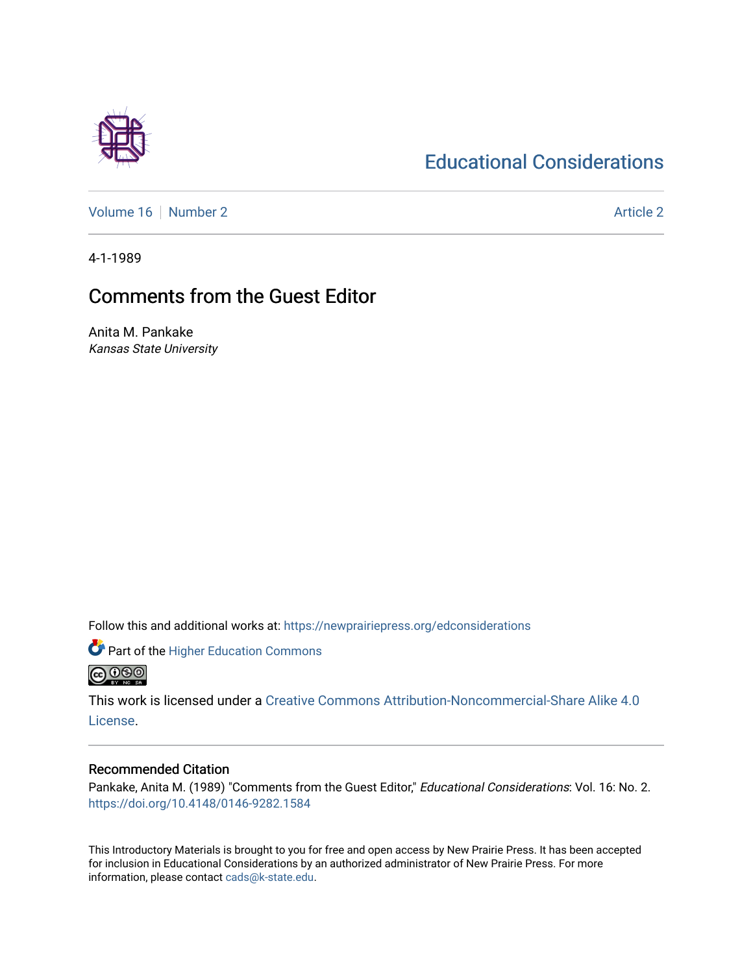# [Educational Considerations](https://newprairiepress.org/edconsiderations)

[Volume 16](https://newprairiepress.org/edconsiderations/vol16) [Number 2](https://newprairiepress.org/edconsiderations/vol16/iss2) Article 2

4-1-1989

# Comments from the Guest Editor

Anita M. Pankake Kansas State University

Follow this and additional works at: [https://newprairiepress.org/edconsiderations](https://newprairiepress.org/edconsiderations?utm_source=newprairiepress.org%2Fedconsiderations%2Fvol16%2Fiss2%2F2&utm_medium=PDF&utm_campaign=PDFCoverPages) 

**Part of the Higher Education Commons @@@** 

This work is licensed under a [Creative Commons Attribution-Noncommercial-Share Alike 4.0](https://creativecommons.org/licenses/by-nc-sa/4.0/) [License.](https://creativecommons.org/licenses/by-nc-sa/4.0/)

# Recommended Citation

Pankake, Anita M. (1989) "Comments from the Guest Editor," Educational Considerations: Vol. 16: No. 2. <https://doi.org/10.4148/0146-9282.1584>

This Introductory Materials is brought to you for free and open access by New Prairie Press. It has been accepted for inclusion in Educational Considerations by an authorized administrator of New Prairie Press. For more information, please contact [cads@k-state.edu](mailto:cads@k-state.edu).